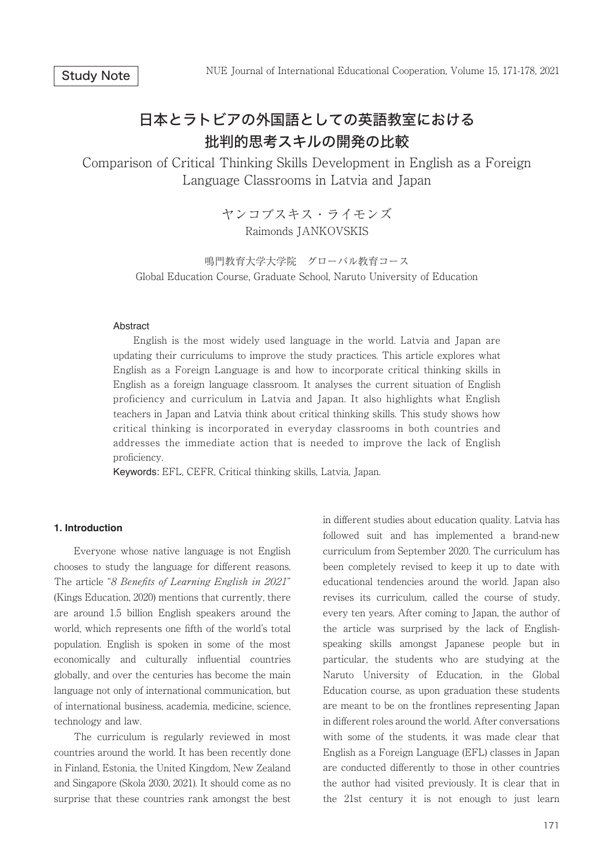# 日本とラトビアの外国語としての英語教室における 批判的思考スキルの開発の比較

Comparison of Critical Thinking Skills Development in English as a Foreign Language Classrooms in Latvia and Japan

> ヤンコブスキス・ライモンズ Raimonds JANKOVSKIS

鳴門教育大学大学院 グローバル教育コース Global Education Course, Graduate School, Naruto University of Education

#### Abstract

 English is the most widely used language in the world. Latvia and Japan are updating their curriculums to improve the study practices. This article explores what English as a Foreign Language is and how to incorporate critical thinking skills in English as a foreign language classroom. It analyses the current situation of English proficiency and curriculum in Latvia and Japan. It also highlights what English teachers in Japan and Latvia think about critical thinking skills. This study shows how critical thinking is incorporated in everyday classrooms in both countries and addresses the immediate action that is needed to improve the lack of English proficiency.

Keywords: EFL, CEFR, Critical thinking skills, Latvia, Japan.

### **1. Introduction**

 Everyone whose native language is not English chooses to study the language for different reasons. The article "8 Benefits of Learning English in 2021" (Kings Education, 2020) mentions that currently, there are around 1.5 billion English speakers around the world, which represents one fifth of the world's total population. English is spoken in some of the most economically and culturally influential countries globally, and over the centuries has become the main language not only of international communication, but of international business, academia, medicine, science, technology and law.

 The curriculum is regularly reviewed in most countries around the world. It has been recently done in Finland, Estonia, the United Kingdom, New Zealand and Singapore (Skola 2030, 2021). It should come as no surprise that these countries rank amongst the best

in different studies about education quality. Latvia has followed suit and has implemented a brand-new curriculum from September 2020. The curriculum has been completely revised to keep it up to date with educational tendencies around the world. Japan also revises its curriculum, called the course of study, every ten years. After coming to Japan, the author of the article was surprised by the lack of Englishspeaking skills amongst Japanese people but in particular, the students who are studying at the Naruto University of Education, in the Global Education course, as upon graduation these students are meant to be on the frontlines representing Japan in different roles around the world. After conversations with some of the students, it was made clear that English as a Foreign Language (EFL) classes in Japan are conducted differently to those in other countries the author had visited previously. It is clear that in the 21st century it is not enough to just learn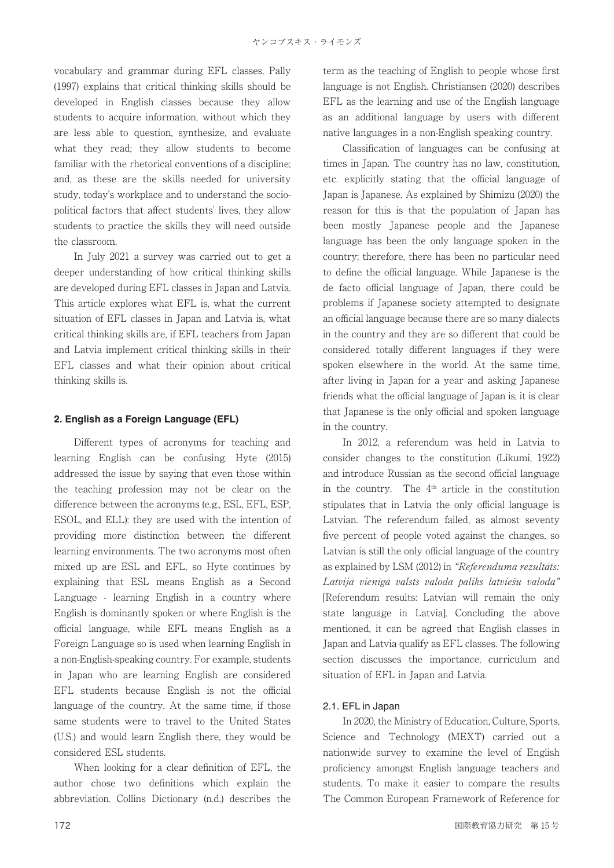vocabulary and grammar during EFL classes. Pally (1997) explains that critical thinking skills should be developed in English classes because they allow students to acquire information, without which they are less able to question, synthesize, and evaluate what they read; they allow students to become familiar with the rhetorical conventions of a discipline; and, as these are the skills needed for university study, today's workplace and to understand the sociopolitical factors that affect students' lives, they allow students to practice the skills they will need outside the classroom.

 In July 2021 a survey was carried out to get a deeper understanding of how critical thinking skills are developed during EFL classes in Japan and Latvia. This article explores what EFL is, what the current situation of EFL classes in Japan and Latvia is, what critical thinking skills are, if EFL teachers from Japan and Latvia implement critical thinking skills in their EFL classes and what their opinion about critical thinking skills is.

## **2. English as a Foreign Language (EFL)**

 Different types of acronyms for teaching and learning English can be confusing. Hyte (2015) addressed the issue by saying that even those within the teaching profession may not be clear on the difference between the acronyms (e.g., ESL, EFL, ESP, ESOL, and ELL): they are used with the intention of providing more distinction between the different learning environments. The two acronyms most often mixed up are ESL and EFL, so Hyte continues by explaining that ESL means English as a Second Language - learning English in a country where English is dominantly spoken or where English is the official language, while EFL means English as a Foreign Language so is used when learning English in a non-English-speaking country. For example, students in Japan who are learning English are considered EFL students because English is not the official language of the country. At the same time, if those same students were to travel to the United States (U.S.) and would learn English there, they would be considered ESL students.

 When looking for a clear definition of EFL, the author chose two definitions which explain the abbreviation. Collins Dictionary (n.d.) describes the term as the teaching of English to people whose first language is not English. Christiansen (2020) describes EFL as the learning and use of the English language as an additional language by users with different native languages in a non-English speaking country.

 Classification of languages can be confusing at times in Japan. The country has no law, constitution, etc. explicitly stating that the official language of Japan is Japanese. As explained by Shimizu (2020) the reason for this is that the population of Japan has been mostly Japanese people and the Japanese language has been the only language spoken in the country; therefore, there has been no particular need to define the official language. While Japanese is the de facto official language of Japan, there could be problems if Japanese society attempted to designate an official language because there are so many dialects in the country and they are so different that could be considered totally different languages if they were spoken elsewhere in the world. At the same time, after living in Japan for a year and asking Japanese friends what the official language of Japan is, it is clear that Japanese is the only official and spoken language in the country.

 In 2012, a referendum was held in Latvia to consider changes to the constitution (Likumi, 1922) and introduce Russian as the second official language in the country. The  $4<sup>th</sup>$  article in the constitution stipulates that in Latvia the only official language is Latvian. The referendum failed, as almost seventy five percent of people voted against the changes, so Latvian is still the only official language of the country as explained by LSM (2012) in "Referenduma rezultāts: Latvijā vienīgā valsts valoda paliks latviešu valoda" [Referendum results: Latvian will remain the only state language in Latvia]. Concluding the above mentioned, it can be agreed that English classes in Japan and Latvia qualify as EFL classes. The following section discusses the importance, curriculum and situation of EFL in Japan and Latvia.

## 2.1. EFL in Japan

 In 2020, the Ministry of Education, Culture, Sports, Science and Technology (MEXT) carried out a nationwide survey to examine the level of English proficiency amongst English language teachers and students. To make it easier to compare the results The Common European Framework of Reference for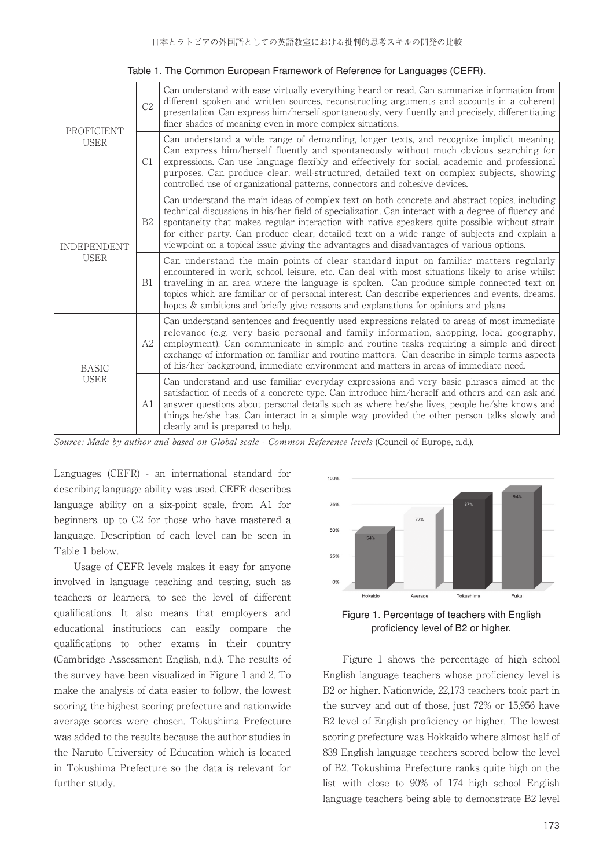| <b>PROFICIENT</b><br><b>USER</b>  | C <sub>2</sub> | Can understand with ease virtually everything heard or read. Can summarize information from<br>different spoken and written sources, reconstructing arguments and accounts in a coherent<br>presentation. Can express him/herself spontaneously, very fluently and precisely, differentiating<br>finer shades of meaning even in more complex situations.                                                                                                                                         |
|-----------------------------------|----------------|---------------------------------------------------------------------------------------------------------------------------------------------------------------------------------------------------------------------------------------------------------------------------------------------------------------------------------------------------------------------------------------------------------------------------------------------------------------------------------------------------|
|                                   | C1             | Can understand a wide range of demanding, longer texts, and recognize implicit meaning.<br>Can express him/herself fluently and spontaneously without much obvious searching for<br>expressions. Can use language flexibly and effectively for social, academic and professional<br>purposes. Can produce clear, well-structured, detailed text on complex subjects, showing<br>controlled use of organizational patterns, connectors and cohesive devices.                                       |
| <b>INDEPENDENT</b><br><b>USER</b> | B <sub>2</sub> | Can understand the main ideas of complex text on both concrete and abstract topics, including<br>technical discussions in his/her field of specialization. Can interact with a degree of fluency and<br>spontaneity that makes regular interaction with native speakers quite possible without strain<br>for either party. Can produce clear, detailed text on a wide range of subjects and explain a<br>viewpoint on a topical issue giving the advantages and disadvantages of various options. |
|                                   | B1             | Can understand the main points of clear standard input on familiar matters regularly<br>encountered in work, school, leisure, etc. Can deal with most situations likely to arise whilst<br>travelling in an area where the language is spoken. Can produce simple connected text on<br>topics which are familiar or of personal interest. Can describe experiences and events, dreams,<br>hopes & ambitions and briefly give reasons and explanations for opinions and plans.                     |
| <b>BASIC</b><br><b>USER</b>       | A2             | Can understand sentences and frequently used expressions related to areas of most immediate<br>relevance (e.g. very basic personal and family information, shopping, local geography,<br>employment). Can communicate in simple and routine tasks requiring a simple and direct<br>exchange of information on familiar and routine matters. Can describe in simple terms aspects<br>of his/her background, immediate environment and matters in areas of immediate need.                          |
|                                   | Al             | Can understand and use familiar everyday expressions and very basic phrases aimed at the<br>satisfaction of needs of a concrete type. Can introduce him/herself and others and can ask and<br>answer questions about personal details such as where he/she lives, people he/she knows and<br>things he/she has. Can interact in a simple way provided the other person talks slowly and<br>clearly and is prepared to help.                                                                       |

Source: Made by author and based on Global scale - Common Reference levels (Council of Europe, n.d.).

Languages (CEFR) - an international standard for describing language ability was used. CEFR describes language ability on a six-point scale, from A1 for beginners, up to C2 for those who have mastered a language. Description of each level can be seen in Table 1 below.

 Usage of CEFR levels makes it easy for anyone involved in language teaching and testing, such as teachers or learners, to see the level of different qualifications. It also means that employers and educational institutions can easily compare the qualifications to other exams in their country (Cambridge Assessment English, n.d.). The results of the survey have been visualized in Figure 1 and 2. To make the analysis of data easier to follow, the lowest scoring, the highest scoring prefecture and nationwide average scores were chosen. Tokushima Prefecture was added to the results because the author studies in the Naruto University of Education which is located in Tokushima Prefecture so the data is relevant for further study.



Figure 1. Percentage of teachers with English proficiency level of B2 or higher.

 Figure 1 shows the percentage of high school English language teachers whose proficiency level is B2 or higher. Nationwide, 22,173 teachers took part in the survey and out of those, just 72% or 15,956 have B2 level of English proficiency or higher. The lowest scoring prefecture was Hokkaido where almost half of 839 English language teachers scored below the level of B2. Tokushima Prefecture ranks quite high on the list with close to 90% of 174 high school English language teachers being able to demonstrate B2 level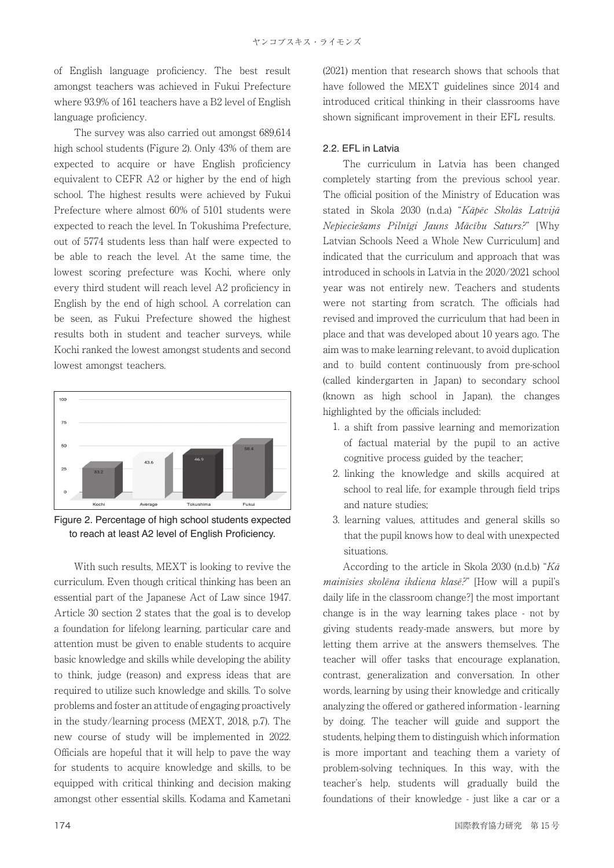of English language proficiency. The best result amongst teachers was achieved in Fukui Prefecture where 93.9% of 161 teachers have a B2 level of English language proficiency.

 The survey was also carried out amongst 689,614 high school students (Figure 2). Only 43% of them are expected to acquire or have English proficiency equivalent to CEFR A2 or higher by the end of high school. The highest results were achieved by Fukui Prefecture where almost 60% of 5101 students were expected to reach the level. In Tokushima Prefecture, out of 5774 students less than half were expected to be able to reach the level. At the same time, the lowest scoring prefecture was Kochi, where only every third student will reach level A2 proficiency in English by the end of high school. A correlation can be seen, as Fukui Prefecture showed the highest results both in student and teacher surveys, while Kochi ranked the lowest amongst students and second lowest amongst teachers.



Figure 2. Percentage of high school students expected to reach at least A2 level of English Proficiency.

 With such results, MEXT is looking to revive the curriculum. Even though critical thinking has been an essential part of the Japanese Act of Law since 1947. Article 30 section 2 states that the goal is to develop a foundation for lifelong learning, particular care and attention must be given to enable students to acquire basic knowledge and skills while developing the ability to think, judge (reason) and express ideas that are required to utilize such knowledge and skills. To solve problems and foster an attitude of engaging proactively in the study/learning process (MEXT, 2018, p.7). The new course of study will be implemented in 2022. Officials are hopeful that it will help to pave the way for students to acquire knowledge and skills, to be equipped with critical thinking and decision making amongst other essential skills. Kodama and Kametani

(2021) mention that research shows that schools that have followed the MEXT guidelines since 2014 and introduced critical thinking in their classrooms have shown significant improvement in their EFL results.

## 2.2. EFL in Latvia

 The curriculum in Latvia has been changed completely starting from the previous school year. The official position of the Ministry of Education was stated in Skola 2030 (n.d.a) "Kāpēc Skolās Latvijā Nepieciešams Pilnīgi Jauns Mācību Saturs?" [Why Latvian Schools Need a Whole New Curriculum] and indicated that the curriculum and approach that was introduced in schools in Latvia in the 2020/2021 school year was not entirely new. Teachers and students were not starting from scratch. The officials had revised and improved the curriculum that had been in place and that was developed about 10 years ago. The aim was to make learning relevant, to avoid duplication and to build content continuously from pre-school (called kindergarten in Japan) to secondary school (known as high school in Japan), the changes highlighted by the officials included:

- 1. a shift from passive learning and memorization of factual material by the pupil to an active cognitive process guided by the teacher;
- 2. linking the knowledge and skills acquired at school to real life, for example through field trips and nature studies;
- 3. learning values, attitudes and general skills so that the pupil knows how to deal with unexpected situations.

According to the article in Skola 2030 (n.d.b) " $K\bar{a}$ mainīsies skolēna ikdiena klasē?" [How will a pupil's daily life in the classroom change?] the most important change is in the way learning takes place - not by giving students ready-made answers, but more by letting them arrive at the answers themselves. The teacher will offer tasks that encourage explanation, contrast, generalization and conversation. In other words, learning by using their knowledge and critically analyzing the offered or gathered information - learning by doing. The teacher will guide and support the students, helping them to distinguish which information is more important and teaching them a variety of problem-solving techniques. In this way, with the teacher's help, students will gradually build the foundations of their knowledge - just like a car or a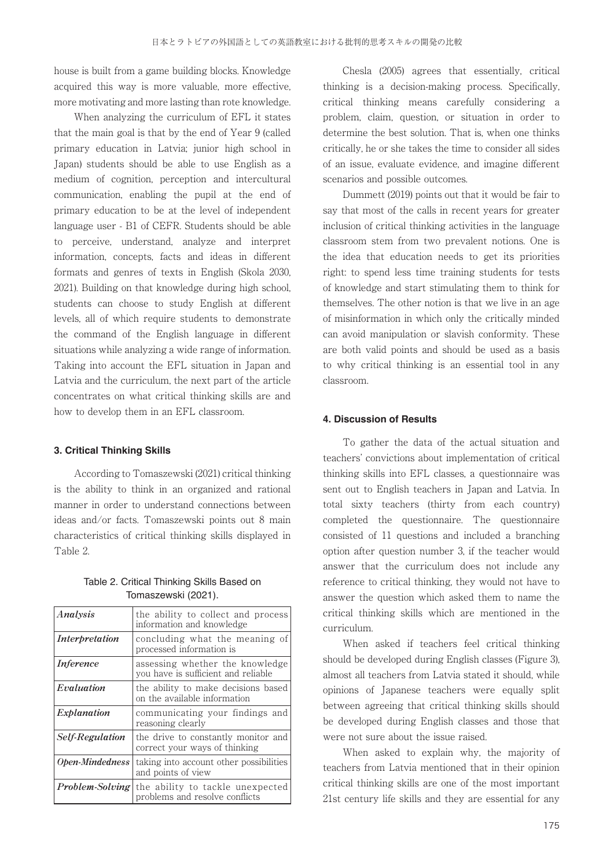house is built from a game building blocks. Knowledge acquired this way is more valuable, more effective, more motivating and more lasting than rote knowledge.

 When analyzing the curriculum of EFL it states that the main goal is that by the end of Year 9 (called primary education in Latvia; junior high school in Japan) students should be able to use English as a medium of cognition, perception and intercultural communication, enabling the pupil at the end of primary education to be at the level of independent language user - B1 of CEFR. Students should be able to perceive, understand, analyze and interpret information, concepts, facts and ideas in different formats and genres of texts in English (Skola 2030, 2021). Building on that knowledge during high school, students can choose to study English at different levels, all of which require students to demonstrate the command of the English language in different situations while analyzing a wide range of information. Taking into account the EFL situation in Japan and Latvia and the curriculum, the next part of the article concentrates on what critical thinking skills are and how to develop them in an EFL classroom.

### **3. Critical Thinking Skills**

 According to Tomaszewski (2021) critical thinking is the ability to think in an organized and rational manner in order to understand connections between ideas and/or facts. Tomaszewski points out 8 main characteristics of critical thinking skills displayed in Table 2.

Table 2. Critical Thinking Skills Based on Tomaszewski (2021).

| Analysis               | the ability to collect and process<br>information and knowledge        |
|------------------------|------------------------------------------------------------------------|
| Interpretation         | concluding what the meaning of<br>processed information is             |
| <i>Inference</i>       | assessing whether the knowledge<br>you have is sufficient and reliable |
| Evaluation             | the ability to make decisions based<br>on the available information    |
| Explanation            | communicating your findings and<br>reasoning clearly                   |
| Self-Regulation        | the drive to constantly monitor and<br>correct your ways of thinking   |
| Open-Mindedness        | taking into account other possibilities<br>and points of view          |
| <i>Problem-Solving</i> | the ability to tackle unexpected<br>problems and resolve conflicts     |

 Chesla (2005) agrees that essentially, critical thinking is a decision-making process. Specifically, critical thinking means carefully considering a problem, claim, question, or situation in order to determine the best solution. That is, when one thinks critically, he or she takes the time to consider all sides of an issue, evaluate evidence, and imagine different scenarios and possible outcomes.

 Dummett (2019) points out that it would be fair to say that most of the calls in recent years for greater inclusion of critical thinking activities in the language classroom stem from two prevalent notions. One is the idea that education needs to get its priorities right: to spend less time training students for tests of knowledge and start stimulating them to think for themselves. The other notion is that we live in an age of misinformation in which only the critically minded can avoid manipulation or slavish conformity. These are both valid points and should be used as a basis to why critical thinking is an essential tool in any classroom.

#### **4. Discussion of Results**

 To gather the data of the actual situation and teachers' convictions about implementation of critical thinking skills into EFL classes, a questionnaire was sent out to English teachers in Japan and Latvia. In total sixty teachers (thirty from each country) completed the questionnaire. The questionnaire consisted of 11 questions and included a branching option after question number 3, if the teacher would answer that the curriculum does not include any reference to critical thinking, they would not have to answer the question which asked them to name the critical thinking skills which are mentioned in the curriculum.

 When asked if teachers feel critical thinking should be developed during English classes (Figure 3), almost all teachers from Latvia stated it should, while opinions of Japanese teachers were equally split between agreeing that critical thinking skills should be developed during English classes and those that were not sure about the issue raised.

 When asked to explain why, the majority of teachers from Latvia mentioned that in their opinion critical thinking skills are one of the most important 21st century life skills and they are essential for any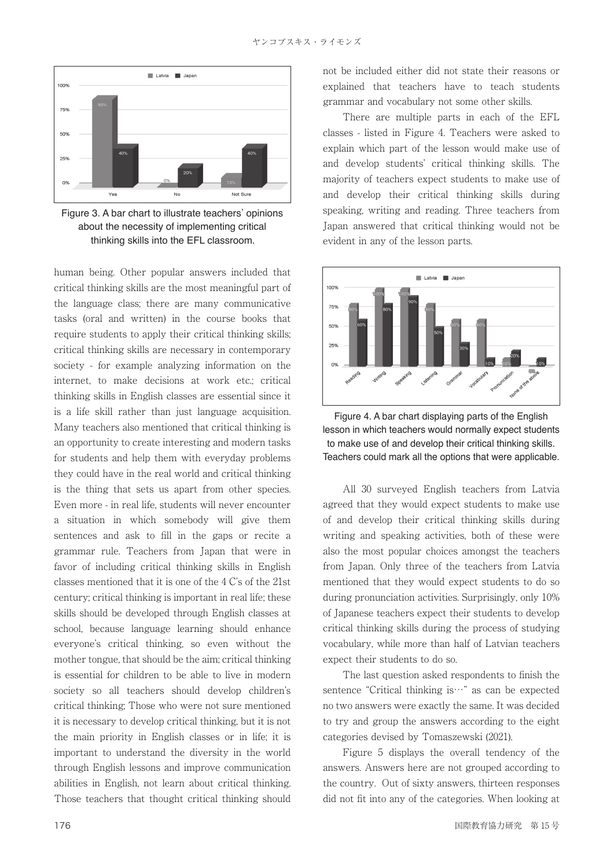

Figure 3. A bar chart to illustrate teachers' opinions about the necessity of implementing critical thinking skills into the EFL classroom.

human being. Other popular answers included that critical thinking skills are the most meaningful part of the language class; there are many communicative tasks (oral and written) in the course books that require students to apply their critical thinking skills; critical thinking skills are necessary in contemporary society - for example analyzing information on the internet, to make decisions at work etc.; critical thinking skills in English classes are essential since it is a life skill rather than just language acquisition. Many teachers also mentioned that critical thinking is an opportunity to create interesting and modern tasks for students and help them with everyday problems they could have in the real world and critical thinking is the thing that sets us apart from other species. Even more - in real life, students will never encounter a situation in which somebody will give them sentences and ask to fill in the gaps or recite a grammar rule. Teachers from Japan that were in favor of including critical thinking skills in English classes mentioned that it is one of the 4 C's of the 21st century; critical thinking is important in real life; these skills should be developed through English classes at school, because language learning should enhance everyone's critical thinking, so even without the mother tongue, that should be the aim; critical thinking is essential for children to be able to live in modern society so all teachers should develop children's critical thinking; Those who were not sure mentioned it is necessary to develop critical thinking, but it is not the main priority in English classes or in life; it is important to understand the diversity in the world through English lessons and improve communication abilities in English, not learn about critical thinking. Those teachers that thought critical thinking should

not be included either did not state their reasons or explained that teachers have to teach students grammar and vocabulary not some other skills.

 There are multiple parts in each of the EFL classes - listed in Figure 4. Teachers were asked to explain which part of the lesson would make use of and develop students' critical thinking skills. The majority of teachers expect students to make use of and develop their critical thinking skills during speaking, writing and reading. Three teachers from Japan answered that critical thinking would not be evident in any of the lesson parts.



Figure 4. A bar chart displaying parts of the English lesson in which teachers would normally expect students to make use of and develop their critical thinking skills. Teachers could mark all the options that were applicable.

 All 30 surveyed English teachers from Latvia agreed that they would expect students to make use of and develop their critical thinking skills during writing and speaking activities, both of these were also the most popular choices amongst the teachers from Japan. Only three of the teachers from Latvia mentioned that they would expect students to do so during pronunciation activities. Surprisingly, only 10% of Japanese teachers expect their students to develop critical thinking skills during the process of studying vocabulary, while more than half of Latvian teachers expect their students to do so.

 The last question asked respondents to finish the sentence "Critical thinking is…" as can be expected no two answers were exactly the same. It was decided to try and group the answers according to the eight categories devised by Tomaszewski (2021).

 Figure 5 displays the overall tendency of the answers. Answers here are not grouped according to the country. Out of sixty answers, thirteen responses did not fit into any of the categories. When looking at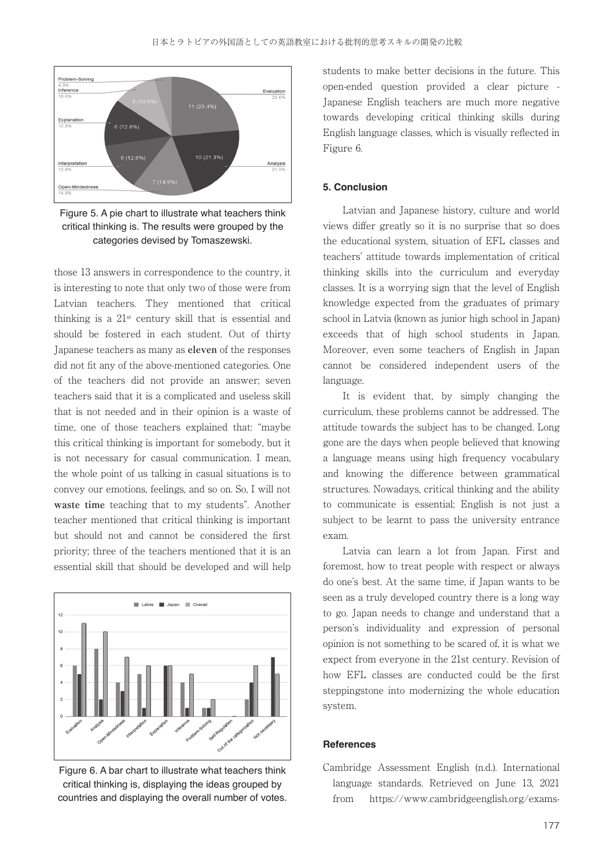

Figure 5. A pie chart to illustrate what teachers think critical thinking is. The results were grouped by the categories devised by Tomaszewski.

those 13 answers in correspondence to the country, it is interesting to note that only two of those were from Latvian teachers. They mentioned that critical thinking is a 21st century skill that is essential and should be fostered in each student. Out of thirty Japanese teachers as many as **eleven** of the responses did not fit any of the above-mentioned categories. One of the teachers did not provide an answer; seven teachers said that it is a complicated and useless skill that is not needed and in their opinion is a waste of time, one of those teachers explained that: "maybe this critical thinking is important for somebody, but it is not necessary for casual communication. I mean, the whole point of us talking in casual situations is to convey our emotions, feelings, and so on. So, I will not **waste time** teaching that to my students". Another teacher mentioned that critical thinking is important but should not and cannot be considered the first priority; three of the teachers mentioned that it is an essential skill that should be developed and will help



Figure 6. A bar chart to illustrate what teachers think critical thinking is, displaying the ideas grouped by countries and displaying the overall number of votes.

students to make better decisions in the future. This open-ended question provided a clear picture - Japanese English teachers are much more negative towards developing critical thinking skills during English language classes, which is visually reflected in Figure 6.

### **5. Conclusion**

 Latvian and Japanese history, culture and world views differ greatly so it is no surprise that so does the educational system, situation of EFL classes and teachers' attitude towards implementation of critical thinking skills into the curriculum and everyday classes. It is a worrying sign that the level of English knowledge expected from the graduates of primary school in Latvia (known as junior high school in Japan) exceeds that of high school students in Japan. Moreover, even some teachers of English in Japan cannot be considered independent users of the language.

 It is evident that, by simply changing the curriculum, these problems cannot be addressed. The attitude towards the subject has to be changed. Long gone are the days when people believed that knowing a language means using high frequency vocabulary and knowing the difference between grammatical structures. Nowadays, critical thinking and the ability to communicate is essential; English is not just a subject to be learnt to pass the university entrance exam.

 Latvia can learn a lot from Japan. First and foremost, how to treat people with respect or always do one's best. At the same time, if Japan wants to be seen as a truly developed country there is a long way to go. Japan needs to change and understand that a person's individuality and expression of personal opinion is not something to be scared of, it is what we expect from everyone in the 21st century. Revision of how EFL classes are conducted could be the first steppingstone into modernizing the whole education system.

#### **References**

Cambridge Assessment English (n.d.). International language standards. Retrieved on June 13, 2021 from https://www.cambridgeenglish.org/exams